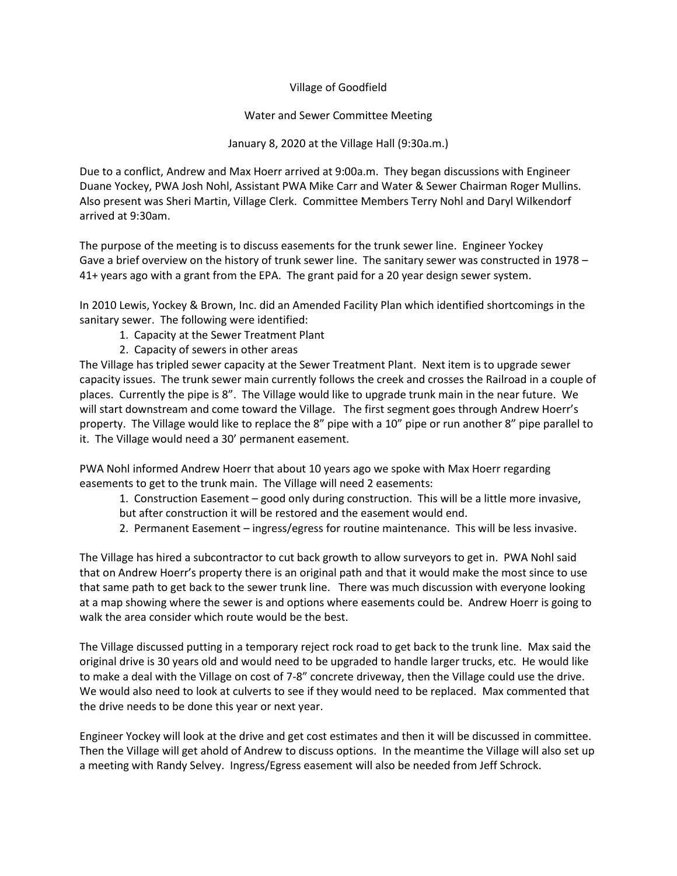## Village of Goodfield

## Water and Sewer Committee Meeting

January 8, 2020 at the Village Hall (9:30a.m.)

Due to a conflict, Andrew and Max Hoerr arrived at 9:00a.m. They began discussions with Engineer Duane Yockey, PWA Josh Nohl, Assistant PWA Mike Carr and Water & Sewer Chairman Roger Mullins. Also present was Sheri Martin, Village Clerk. Committee Members Terry Nohl and Daryl Wilkendorf arrived at 9:30am.

The purpose of the meeting is to discuss easements for the trunk sewer line. Engineer Yockey Gave a brief overview on the history of trunk sewer line. The sanitary sewer was constructed in 1978 – 41+ years ago with a grant from the EPA. The grant paid for a 20 year design sewer system.

In 2010 Lewis, Yockey & Brown, Inc. did an Amended Facility Plan which identified shortcomings in the sanitary sewer. The following were identified:

- 1. Capacity at the Sewer Treatment Plant
- 2. Capacity of sewers in other areas

The Village has tripled sewer capacity at the Sewer Treatment Plant. Next item is to upgrade sewer capacity issues. The trunk sewer main currently follows the creek and crosses the Railroad in a couple of places. Currently the pipe is 8". The Village would like to upgrade trunk main in the near future. We will start downstream and come toward the Village. The first segment goes through Andrew Hoerr's property. The Village would like to replace the 8" pipe with a 10" pipe or run another 8" pipe parallel to it. The Village would need a 30' permanent easement.

PWA Nohl informed Andrew Hoerr that about 10 years ago we spoke with Max Hoerr regarding easements to get to the trunk main. The Village will need 2 easements:

- 1. Construction Easement good only during construction. This will be a little more invasive, but after construction it will be restored and the easement would end.
- 2. Permanent Easement ingress/egress for routine maintenance. This will be less invasive.

The Village has hired a subcontractor to cut back growth to allow surveyors to get in. PWA Nohl said that on Andrew Hoerr's property there is an original path and that it would make the most since to use that same path to get back to the sewer trunk line. There was much discussion with everyone looking at a map showing where the sewer is and options where easements could be. Andrew Hoerr is going to walk the area consider which route would be the best.

The Village discussed putting in a temporary reject rock road to get back to the trunk line. Max said the original drive is 30 years old and would need to be upgraded to handle larger trucks, etc. He would like to make a deal with the Village on cost of 7-8" concrete driveway, then the Village could use the drive. We would also need to look at culverts to see if they would need to be replaced. Max commented that the drive needs to be done this year or next year.

Engineer Yockey will look at the drive and get cost estimates and then it will be discussed in committee. Then the Village will get ahold of Andrew to discuss options. In the meantime the Village will also set up a meeting with Randy Selvey. Ingress/Egress easement will also be needed from Jeff Schrock.